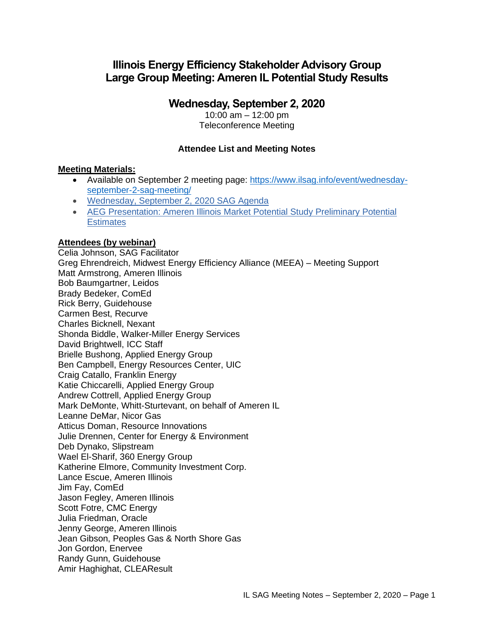# **Illinois Energy Efficiency Stakeholder Advisory Group Large Group Meeting: Ameren IL Potential Study Results**

# **Wednesday, September 2, 2020**

10:00 am – 12:00 pm Teleconference Meeting

## **Attendee List and Meeting Notes**

#### **Meeting Materials:**

- Available on September 2 meeting page: [https://www.ilsag.info/event/wednesday](https://www.ilsag.info/event/wednesday-september-2-sag-meeting/)[september-2-sag-meeting/](https://www.ilsag.info/event/wednesday-september-2-sag-meeting/)
- [Wednesday, September 2, 2020 SAG Agenda](https://ilsag.s3.amazonaws.com/SAG_Agenda_September-2-2020_Meeting_Final.pdf)
- [AEG Presentation: Ameren Illinois Market Potential Study Preliminary Potential](https://ilsag.s3.amazonaws.com/Ameren-MPS_Prelim.-Electricity-Potential-for-SAG_09-02-2020.pdf)  **[Estimates](https://ilsag.s3.amazonaws.com/Ameren-MPS_Prelim.-Electricity-Potential-for-SAG_09-02-2020.pdf)**

#### **Attendees (by webinar)**

Celia Johnson, SAG Facilitator Greg Ehrendreich, Midwest Energy Efficiency Alliance (MEEA) – Meeting Support Matt Armstrong, Ameren Illinois Bob Baumgartner, Leidos Brady Bedeker, ComEd Rick Berry, Guidehouse Carmen Best, Recurve Charles Bicknell, Nexant Shonda Biddle, Walker-Miller Energy Services David Brightwell, ICC Staff Brielle Bushong, Applied Energy Group Ben Campbell, Energy Resources Center, UIC Craig Catallo, Franklin Energy Katie Chiccarelli, Applied Energy Group Andrew Cottrell, Applied Energy Group Mark DeMonte, Whitt-Sturtevant, on behalf of Ameren IL Leanne DeMar, Nicor Gas Atticus Doman, Resource Innovations Julie Drennen, Center for Energy & Environment Deb Dynako, Slipstream Wael El-Sharif, 360 Energy Group Katherine Elmore, Community Investment Corp. Lance Escue, Ameren Illinois Jim Fay, ComEd Jason Fegley, Ameren Illinois Scott Fotre, CMC Energy Julia Friedman, Oracle Jenny George, Ameren Illinois Jean Gibson, Peoples Gas & North Shore Gas Jon Gordon, Enervee Randy Gunn, Guidehouse Amir Haghighat, CLEAResult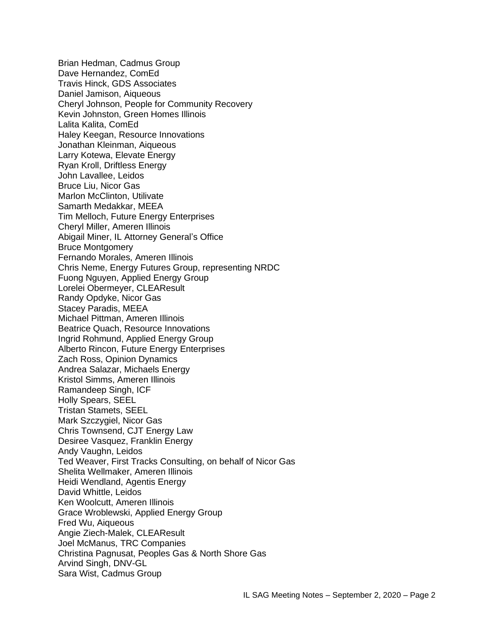Brian Hedman, Cadmus Group Dave Hernandez, ComEd Travis Hinck, GDS Associates Daniel Jamison, Aiqueous Cheryl Johnson, People for Community Recovery Kevin Johnston, Green Homes Illinois Lalita Kalita, ComEd Haley Keegan, Resource Innovations Jonathan Kleinman, Aiqueous Larry Kotewa, Elevate Energy Ryan Kroll, Driftless Energy John Lavallee, Leidos Bruce Liu, Nicor Gas Marlon McClinton, Utilivate Samarth Medakkar, MEEA Tim Melloch, Future Energy Enterprises Cheryl Miller, Ameren Illinois Abigail Miner, IL Attorney General's Office Bruce Montgomery Fernando Morales, Ameren Illinois Chris Neme, Energy Futures Group, representing NRDC Fuong Nguyen, Applied Energy Group Lorelei Obermeyer, CLEAResult Randy Opdyke, Nicor Gas Stacey Paradis, MEEA Michael Pittman, Ameren Illinois Beatrice Quach, Resource Innovations Ingrid Rohmund, Applied Energy Group Alberto Rincon, Future Energy Enterprises Zach Ross, Opinion Dynamics Andrea Salazar, Michaels Energy Kristol Simms, Ameren Illinois Ramandeep Singh, ICF Holly Spears, SEEL Tristan Stamets, SEEL Mark Szczygiel, Nicor Gas Chris Townsend, CJT Energy Law Desiree Vasquez, Franklin Energy Andy Vaughn, Leidos Ted Weaver, First Tracks Consulting, on behalf of Nicor Gas Shelita Wellmaker, Ameren Illinois Heidi Wendland, Agentis Energy David Whittle, Leidos Ken Woolcutt, Ameren Illinois Grace Wroblewski, Applied Energy Group Fred Wu, Aiqueous Angie Ziech-Malek, CLEAResult Joel McManus, TRC Companies Christina Pagnusat, Peoples Gas & North Shore Gas Arvind Singh, DNV-GL Sara Wist, Cadmus Group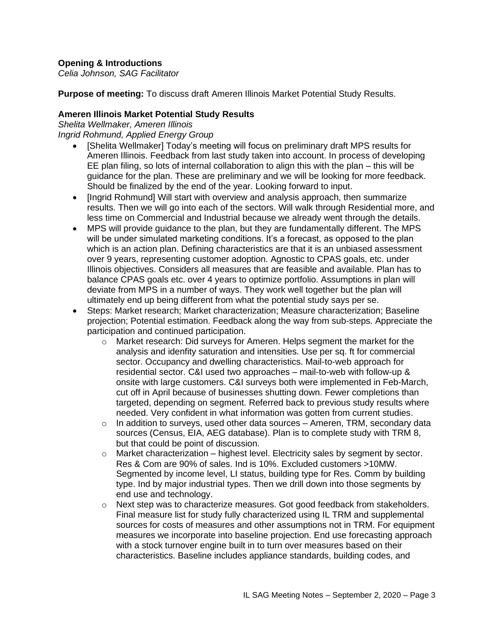## **Opening & Introductions**

*Celia Johnson, SAG Facilitator*

**Purpose of meeting:** To discuss draft Ameren Illinois Market Potential Study Results.

#### **Ameren Illinois Market Potential Study Results**

*Shelita Wellmaker, Ameren Illinois Ingrid Rohmund, Applied Energy Group*

- [Shelita Wellmaker] Today's meeting will focus on preliminary draft MPS results for Ameren Illinois. Feedback from last study taken into account. In process of developing EE plan filing, so lots of internal collaboration to align this with the plan – this will be guidance for the plan. These are preliminary and we will be looking for more feedback. Should be finalized by the end of the year. Looking forward to input.
- [Ingrid Rohmund] Will start with overview and analysis approach, then summarize results. Then we will go into each of the sectors. Will walk through Residential more, and less time on Commercial and Industrial because we already went through the details.
- MPS will provide guidance to the plan, but they are fundamentally different. The MPS will be under simulated marketing conditions. It's a forecast, as opposed to the plan which is an action plan. Defining characteristics are that it is an unbiased assessment over 9 years, representing customer adoption. Agnostic to CPAS goals, etc. under Illinois objectives. Considers all measures that are feasible and available. Plan has to balance CPAS goals etc. over 4 years to optimize portfolio. Assumptions in plan will deviate from MPS in a number of ways. They work well together but the plan will ultimately end up being different from what the potential study says per se.
- Steps: Market research; Market characterization; Measure characterization; Baseline projection; Potential estimation. Feedback along the way from sub-steps. Appreciate the participation and continued participation.
	- o Market research: Did surveys for Ameren. Helps segment the market for the analysis and idenfity saturation and intensities. Use per sq. ft for commercial sector. Occupancy and dwelling characteristics. Mail-to-web approach for residential sector. C&I used two approaches – mail-to-web with follow-up & onsite with large customers. C&I surveys both were implemented in Feb-March, cut off in April because of businesses shutting down. Fewer completions than targeted, depending on segment. Referred back to previous study results where needed. Very confident in what information was gotten from current studies.
	- $\circ$  In addition to surveys, used other data sources Ameren, TRM, secondary data sources (Census, EIA, AEG database). Plan is to complete study with TRM 8, but that could be point of discussion.
	- $\circ$  Market characterization highest level. Electricity sales by segment by sector. Res & Com are 90% of sales. Ind is 10%. Excluded customers >10MW. Segmented by income level, LI status, building type for Res. Comm by building type. Ind by major industrial types. Then we drill down into those segments by end use and technology.
	- $\circ$  Next step was to characterize measures. Got good feedback from stakeholders. Final measure list for study fully characterized using IL TRM and supplemental sources for costs of measures and other assumptions not in TRM. For equipment measures we incorporate into baseline projection. End use forecasting approach with a stock turnover engine built in to turn over measures based on their characteristics. Baseline includes appliance standards, building codes, and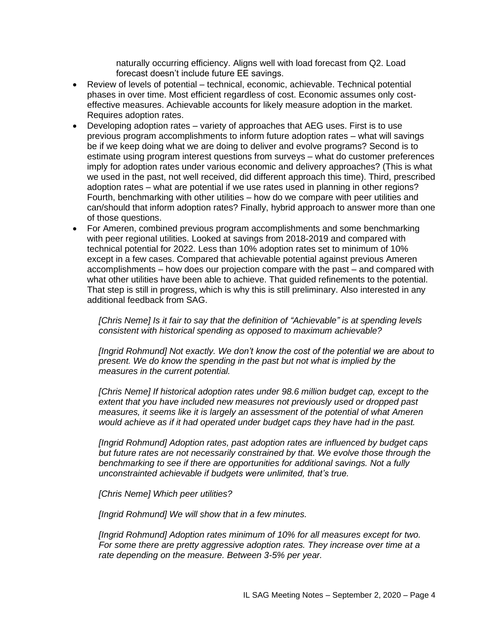naturally occurring efficiency. Aligns well with load forecast from Q2. Load forecast doesn't include future EE savings.

- Review of levels of potential technical, economic, achievable. Technical potential phases in over time. Most efficient regardless of cost. Economic assumes only costeffective measures. Achievable accounts for likely measure adoption in the market. Requires adoption rates.
- Developing adoption rates variety of approaches that AEG uses. First is to use previous program accomplishments to inform future adoption rates – what will savings be if we keep doing what we are doing to deliver and evolve programs? Second is to estimate using program interest questions from surveys – what do customer preferences imply for adoption rates under various economic and delivery approaches? (This is what we used in the past, not well received, did different approach this time). Third, prescribed adoption rates – what are potential if we use rates used in planning in other regions? Fourth, benchmarking with other utilities – how do we compare with peer utilities and can/should that inform adoption rates? Finally, hybrid approach to answer more than one of those questions.
- For Ameren, combined previous program accomplishments and some benchmarking with peer regional utilities. Looked at savings from 2018-2019 and compared with technical potential for 2022. Less than 10% adoption rates set to minimum of 10% except in a few cases. Compared that achievable potential against previous Ameren accomplishments – how does our projection compare with the past – and compared with what other utilities have been able to achieve. That guided refinements to the potential. That step is still in progress, which is why this is still preliminary. Also interested in any additional feedback from SAG.

*[Chris Neme] Is it fair to say that the definition of "Achievable" is at spending levels consistent with historical spending as opposed to maximum achievable?*

*[Ingrid Rohmund] Not exactly. We don't know the cost of the potential we are about to present. We do know the spending in the past but not what is implied by the measures in the current potential.*

*[Chris Neme] If historical adoption rates under 98.6 million budget cap, except to the extent that you have included new measures not previously used or dropped past measures, it seems like it is largely an assessment of the potential of what Ameren would achieve as if it had operated under budget caps they have had in the past.*

*[Ingrid Rohmund] Adoption rates, past adoption rates are influenced by budget caps but future rates are not necessarily constrained by that. We evolve those through the benchmarking to see if there are opportunities for additional savings. Not a fully unconstrainted achievable if budgets were unlimited, that's true.*

*[Chris Neme] Which peer utilities?*

*[Ingrid Rohmund] We will show that in a few minutes.*

*[Ingrid Rohmund] Adoption rates minimum of 10% for all measures except for two. For some there are pretty aggressive adoption rates. They increase over time at a rate depending on the measure. Between 3-5% per year.*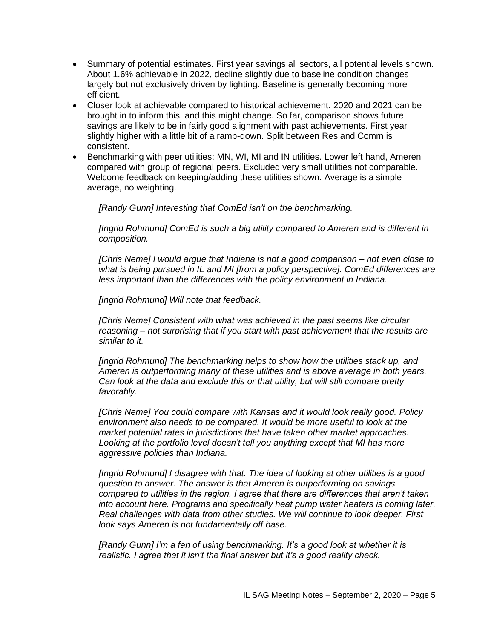- Summary of potential estimates. First year savings all sectors, all potential levels shown. About 1.6% achievable in 2022, decline slightly due to baseline condition changes largely but not exclusively driven by lighting. Baseline is generally becoming more efficient.
- Closer look at achievable compared to historical achievement. 2020 and 2021 can be brought in to inform this, and this might change. So far, comparison shows future savings are likely to be in fairly good alignment with past achievements. First year slightly higher with a little bit of a ramp-down. Split between Res and Comm is consistent.
- Benchmarking with peer utilities: MN, WI, MI and IN utilities. Lower left hand, Ameren compared with group of regional peers. Excluded very small utilities not comparable. Welcome feedback on keeping/adding these utilities shown. Average is a simple average, no weighting.

*[Randy Gunn] Interesting that ComEd isn't on the benchmarking.*

*[Ingrid Rohmund] ComEd is such a big utility compared to Ameren and is different in composition.* 

*[Chris Neme] I would argue that Indiana is not a good comparison – not even close to what is being pursued in IL and MI [from a policy perspective]. ComEd differences are less important than the differences with the policy environment in Indiana.* 

*[Ingrid Rohmund] Will note that feedback.*

*[Chris Neme] Consistent with what was achieved in the past seems like circular reasoning – not surprising that if you start with past achievement that the results are similar to it.*

*[Ingrid Rohmund] The benchmarking helps to show how the utilities stack up, and Ameren is outperforming many of these utilities and is above average in both years. Can look at the data and exclude this or that utility, but will still compare pretty favorably.*

*[Chris Neme] You could compare with Kansas and it would look really good. Policy environment also needs to be compared. It would be more useful to look at the market potential rates in jurisdictions that have taken other market approaches.*  Looking at the portfolio level doesn't tell you anything except that MI has more *aggressive policies than Indiana.*

*[Ingrid Rohmund] I disagree with that. The idea of looking at other utilities is a good question to answer. The answer is that Ameren is outperforming on savings compared to utilities in the region. I agree that there are differences that aren't taken into account here. Programs and specifically heat pump water heaters is coming later. Real challenges with data from other studies. We will continue to look deeper. First look says Ameren is not fundamentally off base.*

*[Randy Gunn] I'm a fan of using benchmarking. It's a good look at whether it is realistic. I agree that it isn't the final answer but it's a good reality check.*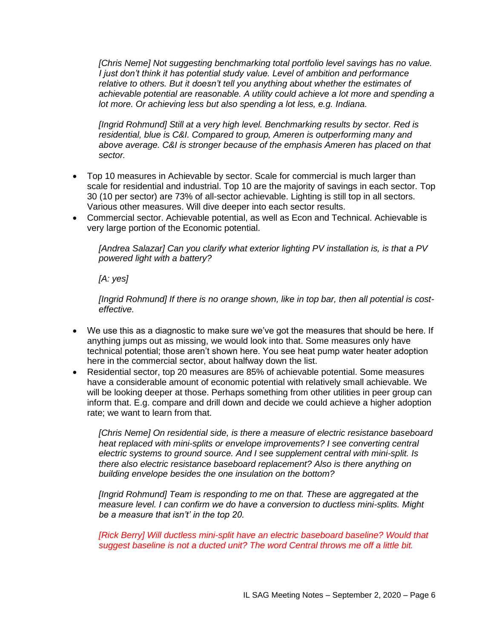*[Chris Neme] Not suggesting benchmarking total portfolio level savings has no value. I just don't think it has potential study value. Level of ambition and performance relative to others. But it doesn't tell you anything about whether the estimates of achievable potential are reasonable. A utility could achieve a lot more and spending a lot more. Or achieving less but also spending a lot less, e.g. Indiana.* 

*[Ingrid Rohmund] Still at a very high level. Benchmarking results by sector. Red is residential, blue is C&I. Compared to group, Ameren is outperforming many and above average. C&I is stronger because of the emphasis Ameren has placed on that sector.*

- Top 10 measures in Achievable by sector. Scale for commercial is much larger than scale for residential and industrial. Top 10 are the majority of savings in each sector. Top 30 (10 per sector) are 73% of all-sector achievable. Lighting is still top in all sectors. Various other measures. Will dive deeper into each sector results.
- Commercial sector. Achievable potential, as well as Econ and Technical. Achievable is very large portion of the Economic potential.

*[Andrea Salazar] Can you clarify what exterior lighting PV installation is, is that a PV powered light with a battery?* 

*[A: yes]*

*[Ingrid Rohmund] If there is no orange shown, like in top bar, then all potential is costeffective.* 

- We use this as a diagnostic to make sure we've got the measures that should be here. If anything jumps out as missing, we would look into that. Some measures only have technical potential; those aren't shown here. You see heat pump water heater adoption here in the commercial sector, about halfway down the list.
- Residential sector, top 20 measures are 85% of achievable potential. Some measures have a considerable amount of economic potential with relatively small achievable. We will be looking deeper at those. Perhaps something from other utilities in peer group can inform that. E.g. compare and drill down and decide we could achieve a higher adoption rate; we want to learn from that.

*[Chris Neme] On residential side, is there a measure of electric resistance baseboard heat replaced with mini-splits or envelope improvements? I see converting central electric systems to ground source. And I see supplement central with mini-split. Is there also electric resistance baseboard replacement? Also is there anything on building envelope besides the one insulation on the bottom?*

*[Ingrid Rohmund] Team is responding to me on that. These are aggregated at the measure level. I can confirm we do have a conversion to ductless mini-splits. Might be a measure that isn't' in the top 20.* 

*[Rick Berry] Will ductless mini-split have an electric baseboard baseline? Would that suggest baseline is not a ducted unit? The word Central throws me off a little bit.*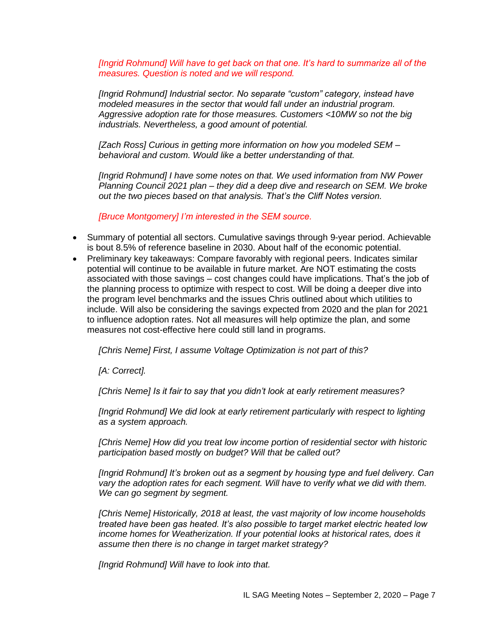*[Ingrid Rohmund] Will have to get back on that one. It's hard to summarize all of the measures. Question is noted and we will respond.*

*[Ingrid Rohmund] Industrial sector. No separate "custom" category, instead have modeled measures in the sector that would fall under an industrial program. Aggressive adoption rate for those measures. Customers <10MW so not the big industrials. Nevertheless, a good amount of potential.*

*[Zach Ross] Curious in getting more information on how you modeled SEM – behavioral and custom. Would like a better understanding of that.* 

*[Ingrid Rohmund] I have some notes on that. We used information from NW Power Planning Council 2021 plan – they did a deep dive and research on SEM. We broke out the two pieces based on that analysis. That's the Cliff Notes version.*

*[Bruce Montgomery] I'm interested in the SEM source.*

- Summary of potential all sectors. Cumulative savings through 9-year period. Achievable is bout 8.5% of reference baseline in 2030. About half of the economic potential.
- Preliminary key takeaways: Compare favorably with regional peers. Indicates similar potential will continue to be available in future market. Are NOT estimating the costs associated with those savings – cost changes could have implications. That's the job of the planning process to optimize with respect to cost. Will be doing a deeper dive into the program level benchmarks and the issues Chris outlined about which utilities to include. Will also be considering the savings expected from 2020 and the plan for 2021 to influence adoption rates. Not all measures will help optimize the plan, and some measures not cost-effective here could still land in programs.

*[Chris Neme] First, I assume Voltage Optimization is not part of this?* 

*[A: Correct].* 

*[Chris Neme] Is it fair to say that you didn't look at early retirement measures?*

*[Ingrid Rohmund] We did look at early retirement particularly with respect to lighting as a system approach.*

*[Chris Neme] How did you treat low income portion of residential sector with historic participation based mostly on budget? Will that be called out?*

*[Ingrid Rohmund] It's broken out as a segment by housing type and fuel delivery. Can vary the adoption rates for each segment. Will have to verify what we did with them. We can go segment by segment.*

*[Chris Neme] Historically, 2018 at least, the vast majority of low income households treated have been gas heated. It's also possible to target market electric heated low income homes for Weatherization. If your potential looks at historical rates, does it assume then there is no change in target market strategy?*

*[Ingrid Rohmund] Will have to look into that.*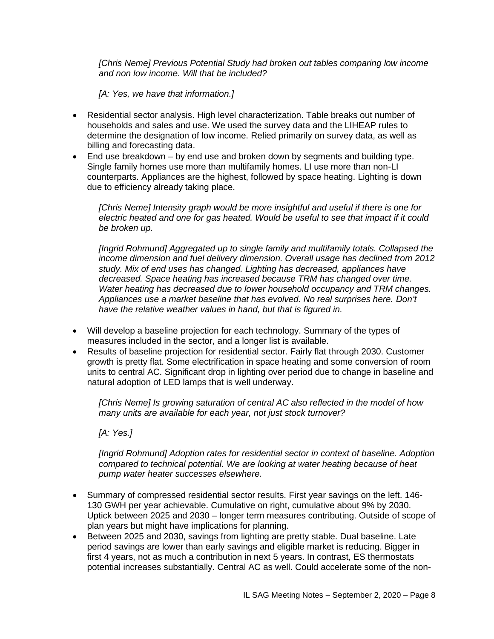*[Chris Neme] Previous Potential Study had broken out tables comparing low income and non low income. Will that be included?* 

*[A: Yes, we have that information.]*

- Residential sector analysis. High level characterization. Table breaks out number of households and sales and use. We used the survey data and the LIHEAP rules to determine the designation of low income. Relied primarily on survey data, as well as billing and forecasting data.
- End use breakdown by end use and broken down by segments and building type. Single family homes use more than multifamily homes. LI use more than non-LI counterparts. Appliances are the highest, followed by space heating. Lighting is down due to efficiency already taking place.

*[Chris Neme] Intensity graph would be more insightful and useful if there is one for electric heated and one for gas heated. Would be useful to see that impact if it could be broken up.*

*[Ingrid Rohmund] Aggregated up to single family and multifamily totals. Collapsed the income dimension and fuel delivery dimension. Overall usage has declined from 2012 study. Mix of end uses has changed. Lighting has decreased, appliances have decreased. Space heating has increased because TRM has changed over time. Water heating has decreased due to lower household occupancy and TRM changes. Appliances use a market baseline that has evolved. No real surprises here. Don't have the relative weather values in hand, but that is figured in.*

- Will develop a baseline projection for each technology. Summary of the types of measures included in the sector, and a longer list is available.
- Results of baseline projection for residential sector. Fairly flat through 2030. Customer growth is pretty flat. Some electrification in space heating and some conversion of room units to central AC. Significant drop in lighting over period due to change in baseline and natural adoption of LED lamps that is well underway.

*[Chris Neme] Is growing saturation of central AC also reflected in the model of how many units are available for each year, not just stock turnover?* 

*[A: Yes.]*

*[Ingrid Rohmund] Adoption rates for residential sector in context of baseline. Adoption compared to technical potential. We are looking at water heating because of heat pump water heater successes elsewhere.*

- Summary of compressed residential sector results. First year savings on the left. 146- 130 GWH per year achievable. Cumulative on right, cumulative about 9% by 2030. Uptick between 2025 and 2030 – longer term measures contributing. Outside of scope of plan years but might have implications for planning.
- Between 2025 and 2030, savings from lighting are pretty stable. Dual baseline. Late period savings are lower than early savings and eligible market is reducing. Bigger in first 4 years, not as much a contribution in next 5 years. In contrast, ES thermostats potential increases substantially. Central AC as well. Could accelerate some of the non-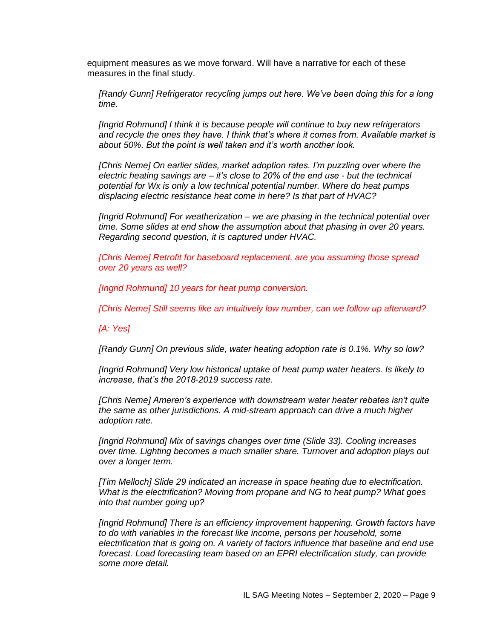equipment measures as we move forward. Will have a narrative for each of these measures in the final study.

*[Randy Gunn] Refrigerator recycling jumps out here. We've been doing this for a long time.* 

*[Ingrid Rohmund] I think it is because people will continue to buy new refrigerators and recycle the ones they have. I think that's where it comes from. Available market is about 50%. But the point is well taken and it's worth another look.* 

*[Chris Neme] On earlier slides, market adoption rates. I'm puzzling over where the electric heating savings are – it's close to 20% of the end use - but the technical potential for Wx is only a low technical potential number. Where do heat pumps displacing electric resistance heat come in here? Is that part of HVAC?*

*[Ingrid Rohmund] For weatherization – we are phasing in the technical potential over time. Some slides at end show the assumption about that phasing in over 20 years. Regarding second question, it is captured under HVAC.*

*[Chris Neme] Retrofit for baseboard replacement, are you assuming those spread over 20 years as well?* 

*[Ingrid Rohmund] 10 years for heat pump conversion.*

*[Chris Neme] Still seems like an intuitively low number, can we follow up afterward?* 

*[A: Yes]*

*[Randy Gunn] On previous slide, water heating adoption rate is 0.1%. Why so low?*

*[Ingrid Rohmund] Very low historical uptake of heat pump water heaters. Is likely to increase, that's the 2018-2019 success rate.*

*[Chris Neme] Ameren's experience with downstream water heater rebates isn't quite the same as other jurisdictions. A mid-stream approach can drive a much higher adoption rate.*

*[Ingrid Rohmund] Mix of savings changes over time (Slide 33). Cooling increases over time. Lighting becomes a much smaller share. Turnover and adoption plays out over a longer term.* 

*[Tim Melloch] Slide 29 indicated an increase in space heating due to electrification. What is the electrification? Moving from propane and NG to heat pump? What goes into that number going up?*

*[Ingrid Rohmund] There is an efficiency improvement happening. Growth factors have to do with variables in the forecast like income, persons per household, some electrification that is going on. A variety of factors influence that baseline and end use forecast. Load forecasting team based on an EPRI electrification study, can provide some more detail.*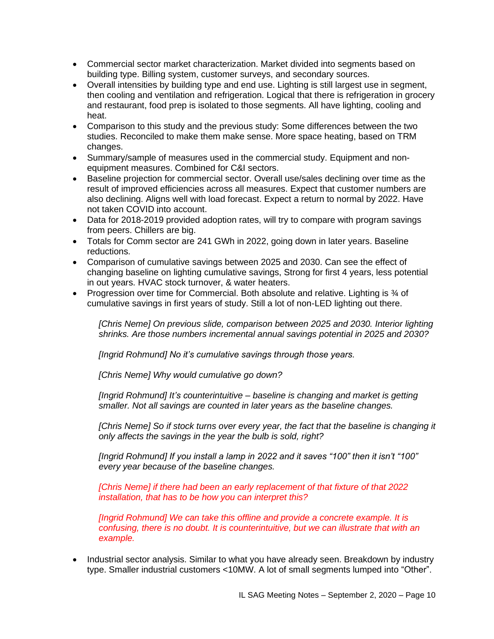- Commercial sector market characterization. Market divided into segments based on building type. Billing system, customer surveys, and secondary sources.
- Overall intensities by building type and end use. Lighting is still largest use in segment, then cooling and ventilation and refrigeration. Logical that there is refrigeration in grocery and restaurant, food prep is isolated to those segments. All have lighting, cooling and heat.
- Comparison to this study and the previous study: Some differences between the two studies. Reconciled to make them make sense. More space heating, based on TRM changes.
- Summary/sample of measures used in the commercial study. Equipment and nonequipment measures. Combined for C&I sectors.
- Baseline projection for commercial sector. Overall use/sales declining over time as the result of improved efficiencies across all measures. Expect that customer numbers are also declining. Aligns well with load forecast. Expect a return to normal by 2022. Have not taken COVID into account.
- Data for 2018-2019 provided adoption rates, will try to compare with program savings from peers. Chillers are big.
- Totals for Comm sector are 241 GWh in 2022, going down in later years. Baseline reductions.
- Comparison of cumulative savings between 2025 and 2030. Can see the effect of changing baseline on lighting cumulative savings, Strong for first 4 years, less potential in out years. HVAC stock turnover, & water heaters.
- Progression over time for Commercial. Both absolute and relative. Lighting is % of cumulative savings in first years of study. Still a lot of non-LED lighting out there.

*[Chris Neme] On previous slide, comparison between 2025 and 2030. Interior lighting shrinks. Are those numbers incremental annual savings potential in 2025 and 2030?*

*[Ingrid Rohmund] No it's cumulative savings through those years.*

*[Chris Neme] Why would cumulative go down?*

*[Ingrid Rohmund] It's counterintuitive – baseline is changing and market is getting smaller. Not all savings are counted in later years as the baseline changes.*

*[Chris Neme] So if stock turns over every year, the fact that the baseline is changing it only affects the savings in the year the bulb is sold, right?*

*[Ingrid Rohmund] If you install a lamp in 2022 and it saves "100" then it isn't "100" every year because of the baseline changes.* 

*[Chris Neme] if there had been an early replacement of that fixture of that 2022 installation, that has to be how you can interpret this?*

*[Ingrid Rohmund] We can take this offline and provide a concrete example. It is confusing, there is no doubt. It is counterintuitive, but we can illustrate that with an example.* 

• Industrial sector analysis. Similar to what you have already seen. Breakdown by industry type. Smaller industrial customers <10MW. A lot of small segments lumped into "Other".